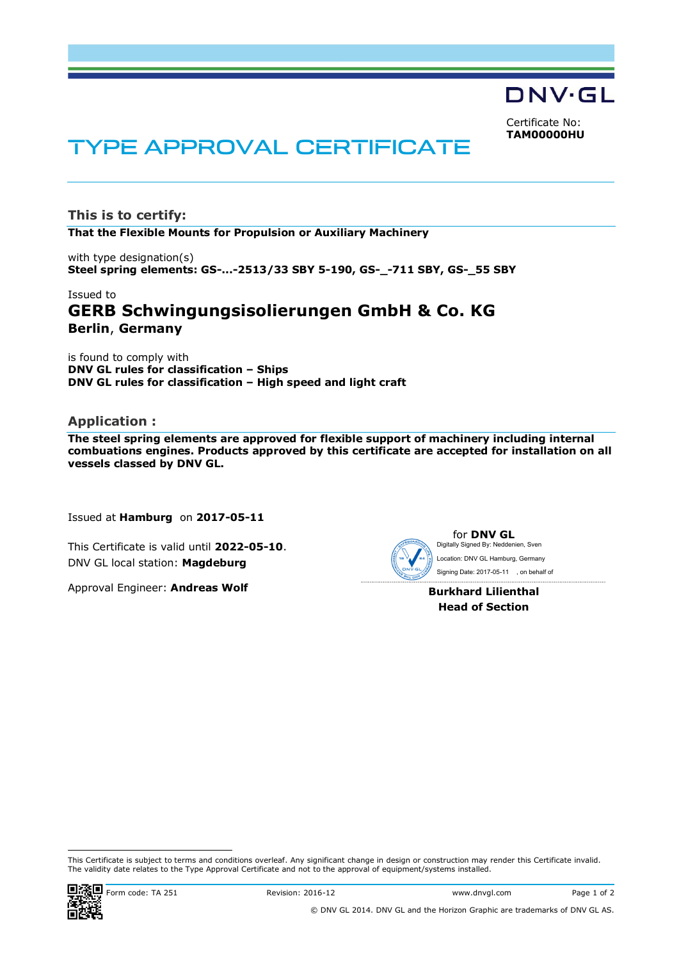DNV·GL

Certificate No: **TAM00000HU**

# TYPE APPROVAL CERTIFICATE

**This is to certify: That the Flexible Mounts for Propulsion or Auxiliary Machinery**

with type designation(s) **Steel spring elements: GS-...-2513/33 SBY 5-190, GS-\_-711 SBY, GS-\_55 SBY**

# Issued to **GERB Schwingungsisolierungen GmbH & Co. KG Berlin**, **Germany**

is found to comply with **DNV GL rules for classification – Ships DNV GL rules for classification – High speed and light craft**

#### **Application :**

**The steel spring elements are approved for flexible support of machinery including internal combuations engines. Products approved by this certificate are accepted for installation on all vessels classed by DNV GL.**

Issued at **Hamburg** on **2017-05-11**

This Certificate is valid until **2022-05-10**. DNV GL local station: **Magdeburg**

Approval Engineer: **Andreas Wolf**

**for DNV GL**<br>Digitally Signed By: Neddenien, Sven Signing Date: 2017-05-11 , on behalf of Location: DNV GL Hamburg, Germany

> **Burkhard Lilienthal Head of Section**

This Certificate is subject to terms and conditions overleaf. Any significant change in design or construction may render this Certificate invalid.<br>The validity date relates to the Type Approval Certificate and not to the This Certificate is valid until 2022-05-10.<br>
DNV GL local station: **Magdeburg**<br>
Approval Engineer: **Andreas Wolf**<br>
Burkhard Lilienthal<br>
Head of Section<br>
Burkhard Lilienthal<br>
Head of Section<br>
This Certificate is subject to